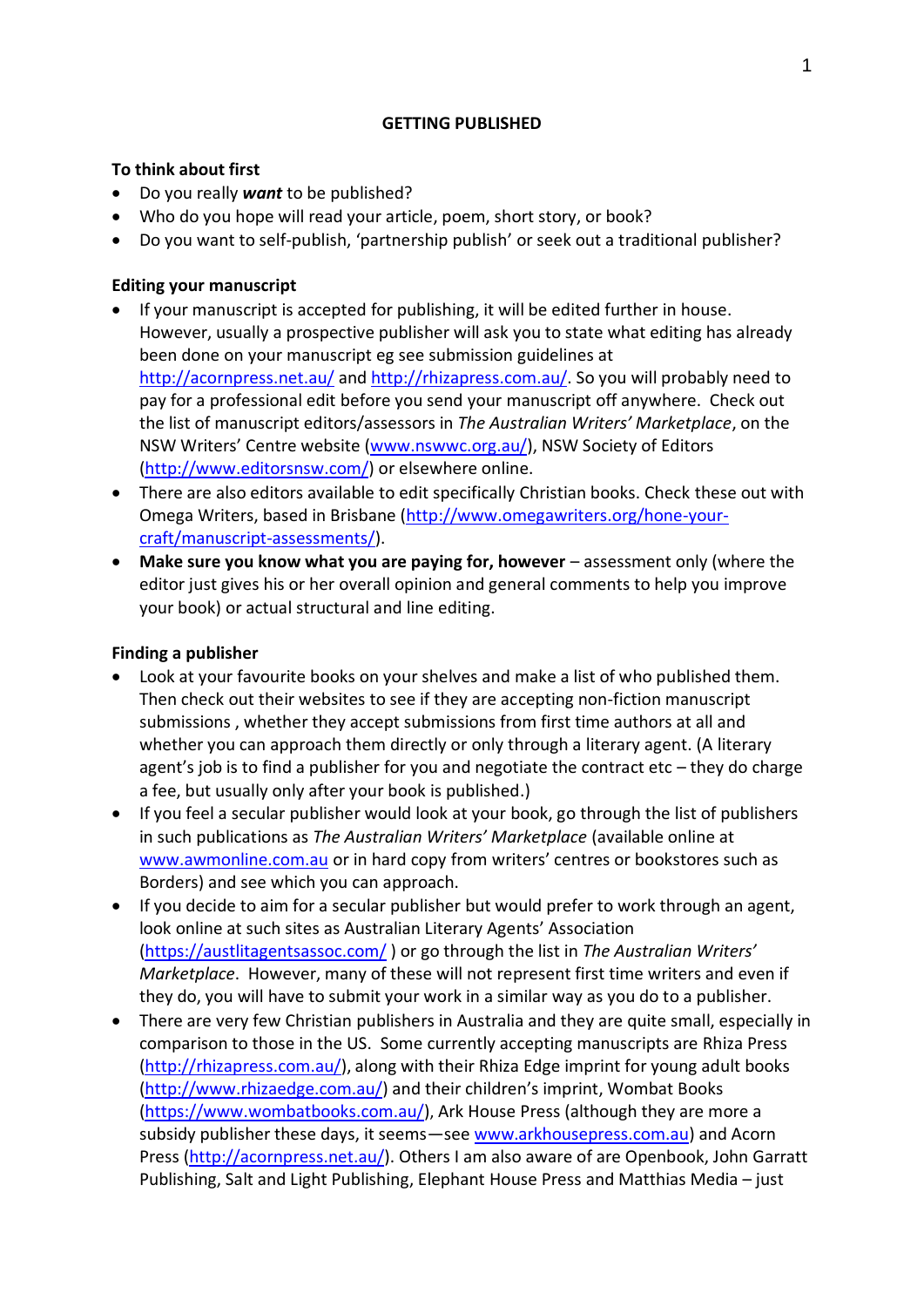#### **GETTING PUBLISHED**

### **To think about first**

- Do you really *want* to be published?
- Who do you hope will read your article, poem, short story, or book?
- Do you want to self-publish, 'partnership publish' or seek out a traditional publisher?

# **Editing your manuscript**

- If your manuscript is accepted for publishing, it will be edited further in house. However, usually a prospective publisher will ask you to state what editing has already been done on your manuscript eg see submission guidelines at <http://acornpress.net.au/> and [http://rhizapress.com.au/.](http://rhizapress.com.au/) So you will probably need to pay for a professional edit before you send your manuscript off anywhere. Check out the list of manuscript editors/assessors in *The Australian Writers' Marketplace*, on the NSW Writers' Centre website ([www.nswwc.org.au/\)](http://www.nswwc.org.au/), NSW Society of Editors [\(http://www.editorsnsw.com/\)](http://www.editorsnsw.com/) or elsewhere online.
- There are also editors available to edit specifically Christian books. Check these out with Omega Writers, based in Brisbane [\(http://www.omegawriters.org/hone-your](http://www.omegawriters.org/hone-your-craft/manuscript-assessments/)[craft/manuscript-assessments/\)](http://www.omegawriters.org/hone-your-craft/manuscript-assessments/).
- Make sure you know what you are paying for, however assessment only (where the editor just gives his or her overall opinion and general comments to help you improve your book) or actual structural and line editing.

### **Finding a publisher**

- Look at your favourite books on your shelves and make a list of who published them. Then check out their websites to see if they are accepting non-fiction manuscript submissions , whether they accept submissions from first time authors at all and whether you can approach them directly or only through a literary agent. (A literary agent's job is to find a publisher for you and negotiate the contract etc – they do charge a fee, but usually only after your book is published.)
- If you feel a secular publisher would look at your book, go through the list of publishers in such publications as *The Australian Writers' Marketplace* (available online at [www.awmonline.com.au](http://www.awmonline.com.au/) or in hard copy from writers' centres or bookstores such as Borders) and see which you can approach.
- If you decide to aim for a secular publisher but would prefer to work through an agent, look online at such sites as Australian Literary Agents' Association [\(https://austlitagentsassoc.com/](https://austlitagentsassoc.com/) ) or go through the list in *The Australian Writers' Marketplace*. However, many of these will not represent first time writers and even if they do, you will have to submit your work in a similar way as you do to a publisher.
- There are very few Christian publishers in Australia and they are quite small, especially in comparison to those in the US. Some currently accepting manuscripts are Rhiza Press [\(http://rhizapress.com.au/\)](http://rhizapress.com.au/), along with their Rhiza Edge imprint for young adult books [\(http://www.rhizaedge.com.au/\)](http://www.rhizaedge.com.au/) and their children's imprint, Wombat Books [\(https://www.wombatbooks.com.au/\)](https://www.wombatbooks.com.au/), Ark House Press (although they are more a subsidy publisher these days, it seems—see [www.arkhousepress.com.au\)](http://www.arkhousepress.com.au/) and Acorn Press [\(http://acornpress.net.au/\)](http://acornpress.net.au/). Others I am also aware of are Openbook, John Garratt Publishing, Salt and Light Publishing, Elephant House Press and Matthias Media – just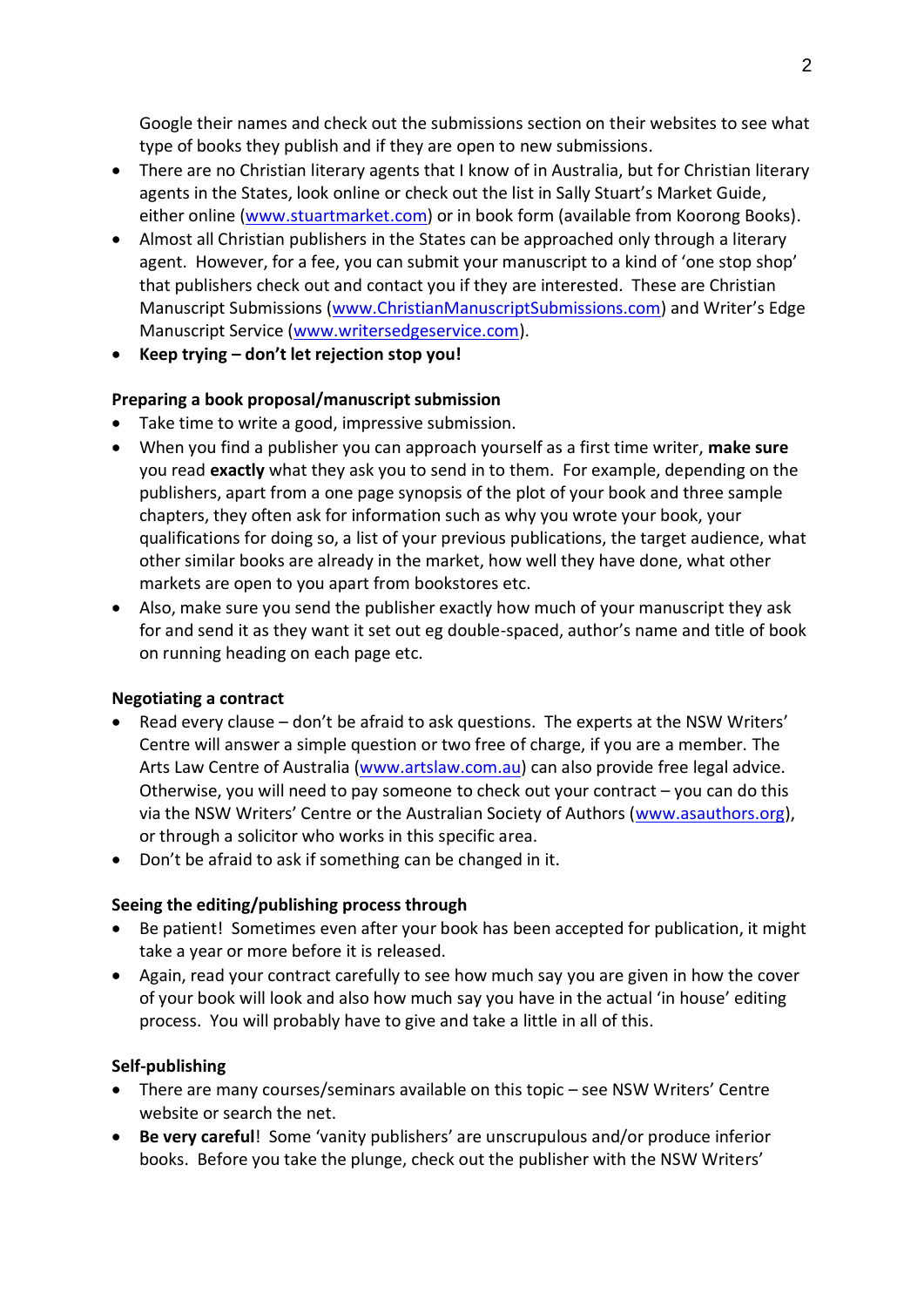Google their names and check out the submissions section on their websites to see what type of books they publish and if they are open to new submissions.

- There are no Christian literary agents that I know of in Australia, but for Christian literary agents in the States, look online or check out the list in Sally Stuart's Market Guide, either online [\(www.stuartmarket.com\)](http://www.stuartmarket.com/) or in book form (available from Koorong Books).
- Almost all Christian publishers in the States can be approached only through a literary agent. However, for a fee, you can submit your manuscript to a kind of 'one stop shop' that publishers check out and contact you if they are interested. These are Christian Manuscript Submissions [\(www.ChristianManuscriptSubmissions.com](http://www.christianmanuscriptsubmissions.com/)) and Writer's Edge Manuscript Service [\(www.writersedgeservice.com\)](http://www.writersedgeservice.com/).
- **Keep trying – don't let rejection stop you!**

# **Preparing a book proposal/manuscript submission**

- Take time to write a good, impressive submission.
- When you find a publisher you can approach yourself as a first time writer, **make sure**  you read **exactly** what they ask you to send in to them. For example, depending on the publishers, apart from a one page synopsis of the plot of your book and three sample chapters, they often ask for information such as why you wrote your book, your qualifications for doing so, a list of your previous publications, the target audience, what other similar books are already in the market, how well they have done, what other markets are open to you apart from bookstores etc.
- Also, make sure you send the publisher exactly how much of your manuscript they ask for and send it as they want it set out eg double-spaced, author's name and title of book on running heading on each page etc.

### **Negotiating a contract**

- Read every clause don't be afraid to ask questions. The experts at the NSW Writers' Centre will answer a simple question or two free of charge, if you are a member. The Arts Law Centre of Australia [\(www.artslaw.com.au\)](http://www.artslaw.com.au/) can also provide free legal advice. Otherwise, you will need to pay someone to check out your contract – you can do this via the NSW Writers' Centre or the Australian Society of Authors ([www.asauthors.org\)](http://www.asauthors.org/), or through a solicitor who works in this specific area.
- Don't be afraid to ask if something can be changed in it.

### **Seeing the editing/publishing process through**

- Be patient! Sometimes even after your book has been accepted for publication, it might take a year or more before it is released.
- Again, read your contract carefully to see how much say you are given in how the cover of your book will look and also how much say you have in the actual 'in house' editing process. You will probably have to give and take a little in all of this.

### **Self-publishing**

- There are many courses/seminars available on this topic see NSW Writers' Centre website or search the net.
- **Be very careful**! Some 'vanity publishers' are unscrupulous and/or produce inferior books. Before you take the plunge, check out the publisher with the NSW Writers'